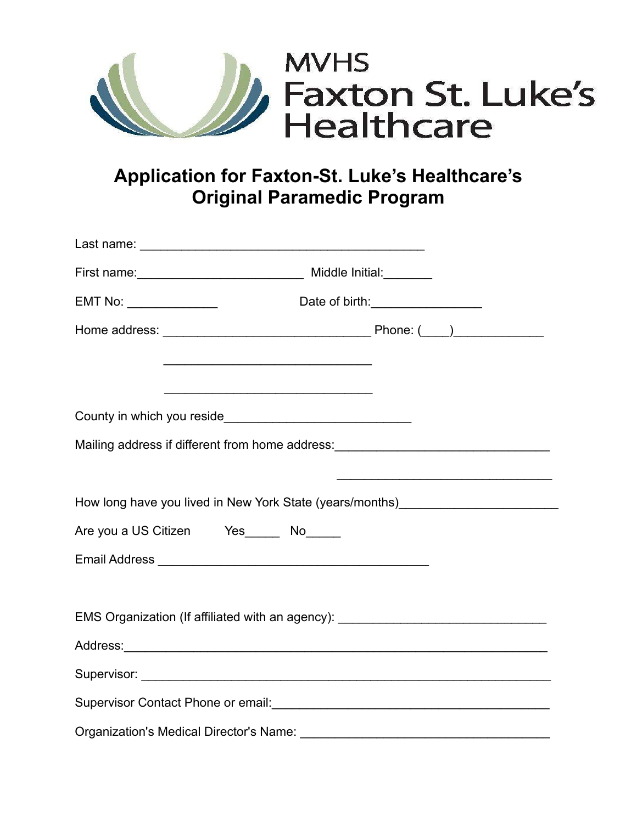

## **Application for Faxton-St. Luke's Healthcare's Original Paramedic Program**

|                                                | First name: __________________________________ Middle Initial: ________          |  |
|------------------------------------------------|----------------------------------------------------------------------------------|--|
|                                                |                                                                                  |  |
|                                                |                                                                                  |  |
|                                                |                                                                                  |  |
|                                                | <u> 1989 - Johann Stein, mars an deus Amerikaansk kommunister (* 1958)</u>       |  |
|                                                |                                                                                  |  |
|                                                | Mailing address if different from home address: ________________________________ |  |
|                                                |                                                                                  |  |
|                                                | How long have you lived in New York State (years/months)________________________ |  |
| Are you a US Citizen Yes ______ No______       |                                                                                  |  |
|                                                |                                                                                  |  |
|                                                |                                                                                  |  |
|                                                | EMS Organization (If affiliated with an agency): _______________________________ |  |
|                                                |                                                                                  |  |
|                                                |                                                                                  |  |
|                                                |                                                                                  |  |
| <b>Organization's Medical Director's Name:</b> |                                                                                  |  |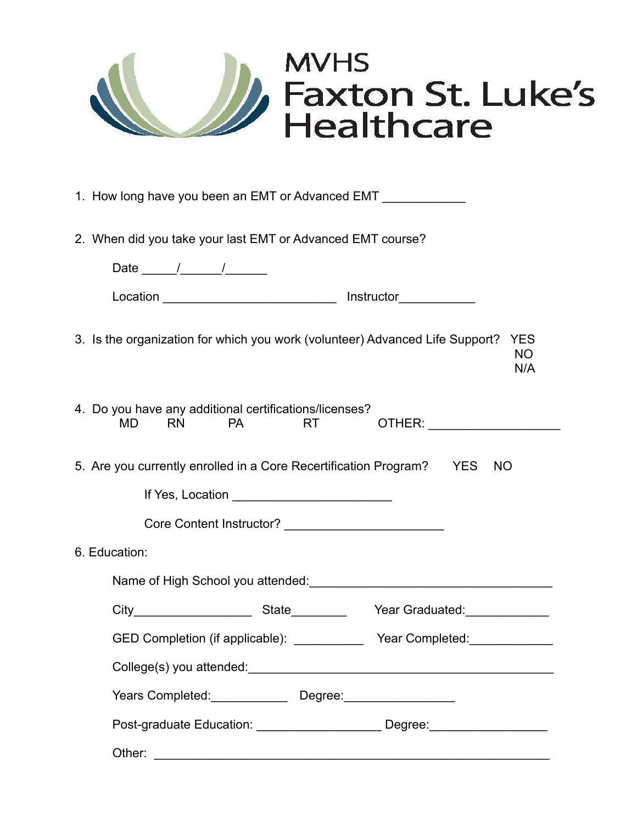

| 1. How long have you been an EMT or Advanced EMT |  |
|--------------------------------------------------|--|
|                                                  |  |
|                                                  |  |

2. When did you take your last EMT or Advanced EMT course?

| Date $\frac{1}{\sqrt{2\pi}}$                                                                  |                                                                                                                                                                                                                                      |                                                                                                                |
|-----------------------------------------------------------------------------------------------|--------------------------------------------------------------------------------------------------------------------------------------------------------------------------------------------------------------------------------------|----------------------------------------------------------------------------------------------------------------|
|                                                                                               |                                                                                                                                                                                                                                      |                                                                                                                |
|                                                                                               |                                                                                                                                                                                                                                      | 3. Is the organization for which you work (volunteer) Advanced Life Support?<br><b>YES</b><br><b>NO</b><br>N/A |
| 4. Do you have any additional certifications/licenses?<br><b>RN</b><br><b>PA</b><br><b>MD</b> | <b>RT</b>                                                                                                                                                                                                                            |                                                                                                                |
|                                                                                               |                                                                                                                                                                                                                                      | 5. Are you currently enrolled in a Core Recertification Program? YES NO                                        |
|                                                                                               | If Yes, Location <u>example and the set of the set of the set of the set of the set of the set of the set of the set of the set of the set of the set of the set of the set of the set of the set of the set of the set of the s</u> |                                                                                                                |
|                                                                                               |                                                                                                                                                                                                                                      |                                                                                                                |
| 6. Education:                                                                                 |                                                                                                                                                                                                                                      |                                                                                                                |
|                                                                                               |                                                                                                                                                                                                                                      | Name of High School you attended: Name of High School you attended:                                            |
|                                                                                               |                                                                                                                                                                                                                                      |                                                                                                                |
|                                                                                               |                                                                                                                                                                                                                                      | GED Completion (if applicable): ______________ Year Completed: ________________                                |
|                                                                                               |                                                                                                                                                                                                                                      |                                                                                                                |
| Years Completed: Degree: Degree:                                                              |                                                                                                                                                                                                                                      |                                                                                                                |
|                                                                                               |                                                                                                                                                                                                                                      | Post-graduate Education: _______________________ Degree: _______________________                               |
| Other:                                                                                        |                                                                                                                                                                                                                                      |                                                                                                                |